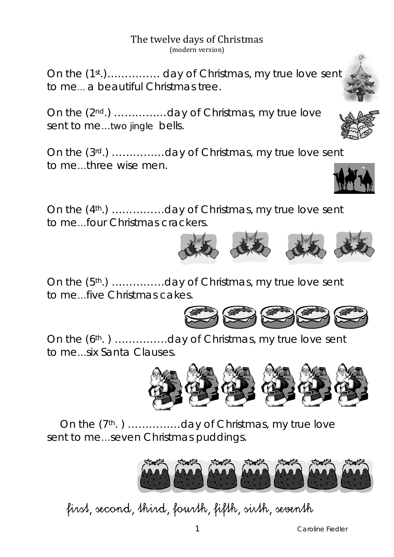The twelve days of Christmas (modern version)

On the (1st.)…………… day of Christmas, my true love sent to me… a beautiful Christmas tree.

On the (2nd.) ……………day of Christmas, my true love sent to me...two jingle bells.

On the (3rd.) ……………day of Christmas, my true love sent to me…three wise men.

On the (4th.) ……………day of Christmas, my true love sent to me…four Christmas crackers.

On the (5th.) ……………day of Christmas, my true love sent to me…five Christmas cakes.

On the (6th. ) ……………day of Christmas, my true love sent to me…six Santa Clauses.

 On the (7th. ) ……………day of Christmas, my true love sent to me…seven Christmas puddings.



## first, second, third, fourth, fifth, sixth, seventh